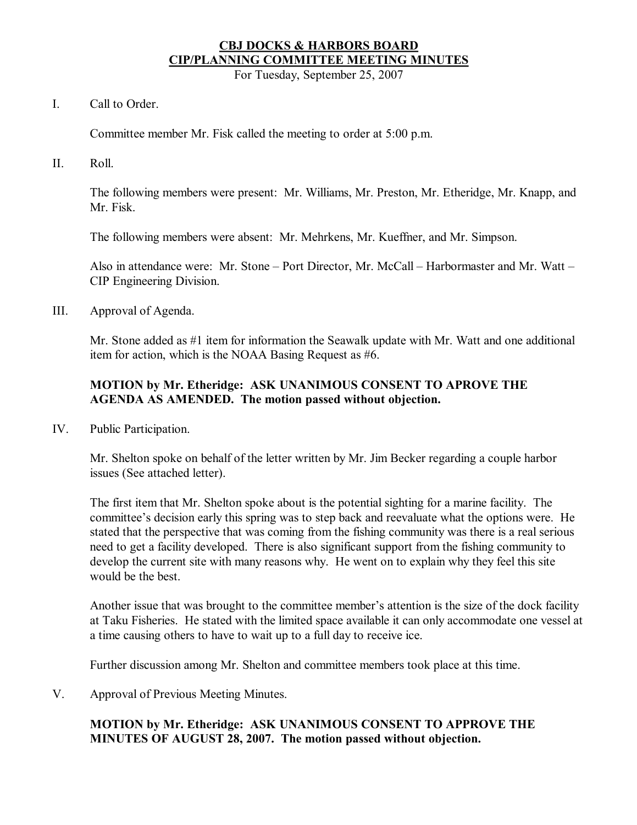# **CBJ DOCKS & HARBORS BOARD CIP/PLANNING COMMITTEE MEETING MINUTES**

For Tuesday, September 25, 2007

## I. Call to Order.

Committee member Mr. Fisk called the meeting to order at 5:00 p.m.

II. Roll.

The following members were present: Mr. Williams, Mr. Preston, Mr. Etheridge, Mr. Knapp, and Mr. Fisk.

The following members were absent: Mr. Mehrkens, Mr. Kueffner, and Mr. Simpson.

Also in attendance were: Mr. Stone – Port Director, Mr. McCall – Harbormaster and Mr. Watt – CIP Engineering Division.

III. Approval of Agenda.

Mr. Stone added as  $\#1$  item for information the Seawalk update with Mr. Watt and one additional item for action, which is the NOAA Basing Request as  $#6$ .

## **MOTION by Mr. Etheridge: ASK UNANIMOUS CONSENT TO APROVE THE AGENDA AS AMENDED. The motion passed without objection.**

IV. Public Participation.

Mr. Shelton spoke on behalf of the letter written by Mr. Jim Becker regarding a couple harbor issues (See attached letter).

The first item that Mr. Shelton spoke about is the potential sighting for a marine facility. The committee's decision early this spring was to step back and reevaluate what the options were. He stated that the perspective that was coming from the fishing community was there is a real serious need to get a facility developed. There is also significant support from the fishing community to develop the current site with many reasons why. He went on to explain why they feel this site would be the best.

Another issue that was brought to the committee member's attention is the size of the dock facility at Taku Fisheries. He stated with the limited space available it can only accommodate one vessel at a time causing others to have to wait up to a full day to receive ice.

Further discussion among Mr. Shelton and committee members took place at this time.

V. Approval of Previous Meeting Minutes.

## **MOTION by Mr. Etheridge: ASK UNANIMOUS CONSENT TO APPROVE THE MINUTES OF AUGUST 28, 2007. The motion passed without objection.**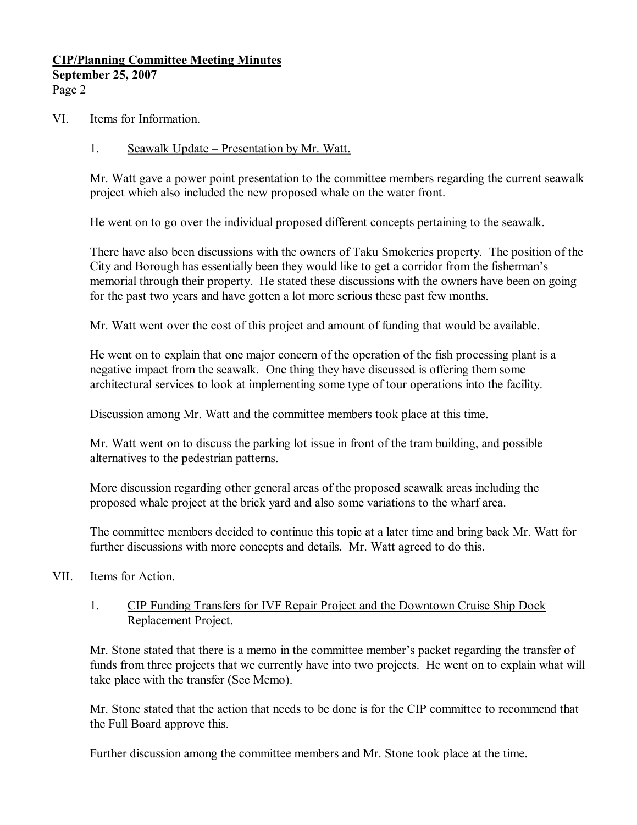## **CIP/Planning Committee Meeting Minutes September 25, 2007** Page 2

VI. Items for Information.

## 1. Seawalk Update – Presentation by Mr. Watt.

Mr. Watt gave a power point presentation to the committee members regarding the current seawalk project which also included the new proposed whale on the water front.

He went on to go over the individual proposed different concepts pertaining to the seawalk.

There have also been discussions with the owners of Taku Smokeries property. The position of the City and Borough has essentially been they would like to get a corridor from the fisherman's memorial through their property. He stated these discussions with the owners have been on going for the past two years and have gotten a lot more serious these past few months.

Mr. Watt went over the cost of this project and amount of funding that would be available.

He went on to explain that one major concern of the operation of the fish processing plant is a negative impact from the seawalk. One thing they have discussed is offering them some architectural services to look at implementing some type of tour operations into the facility.

Discussion among Mr. Watt and the committee members took place at this time.

Mr. Watt went on to discuss the parking lot issue in front of the tram building, and possible alternatives to the pedestrian patterns.

More discussion regarding other general areas of the proposed seawalk areas including the proposed whale project at the brick yard and also some variations to the wharf area.

The committee members decided to continue this topic at a later time and bring back Mr. Watt for further discussions with more concepts and details. Mr. Watt agreed to do this.

VII. Items for Action.

# 1. CIP Funding Transfers for IVF Repair Project and the Downtown Cruise Ship Dock Replacement Project.

Mr. Stone stated that there is a memo in the committee member's packet regarding the transfer of funds from three projects that we currently have into two projects. He went on to explain what will take place with the transfer (See Memo).

Mr. Stone stated that the action that needs to be done is for the CIP committee to recommend that the Full Board approve this.

Further discussion among the committee members and Mr. Stone took place at the time.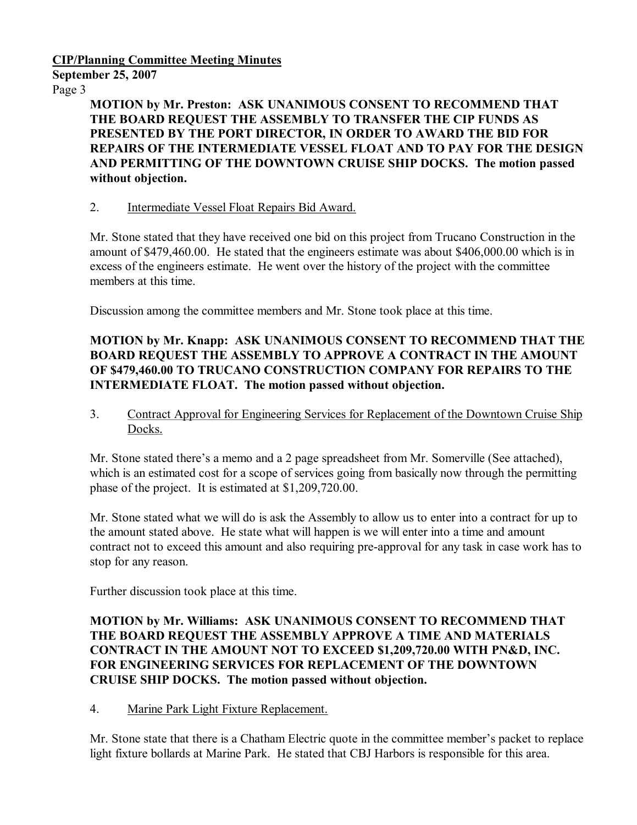### **CIP/Planning Committee Meeting Minutes**

**September 25, 2007**

Page 3

**MOTION by Mr. Preston: ASK UNANIMOUS CONSENT TO RECOMMEND THAT THE BOARD REQUEST THE ASSEMBLY TO TRANSFER THE CIP FUNDS AS PRESENTED BY THE PORT DIRECTOR, IN ORDER TO AWARD THE BID FOR REPAIRS OF THE INTERMEDIATE VESSEL FLOAT AND TO PAY FOR THE DESIGN AND PERMITTING OF THE DOWNTOWN CRUISE SHIP DOCKS. The motion passed without objection.**

# 2. Intermediate Vessel Float Repairs Bid Award.

Mr. Stone stated that they have received one bid on this project from Trucano Construction in the amount of \$479,460.00. He stated that the engineers estimate was about \$406,000.00 which is in excess of the engineers estimate. He went over the history of the project with the committee members at this time.

Discussion among the committee members and Mr. Stone took place at this time.

# **MOTION by Mr. Knapp: ASK UNANIMOUS CONSENT TO RECOMMEND THAT THE BOARD REQUEST THE ASSEMBLY TO APPROVE A CONTRACT IN THE AMOUNT OF \$479,460.00 TO TRUCANO CONSTRUCTION COMPANY FOR REPAIRS TO THE INTERMEDIATE FLOAT. The motion passed without objection.**

3. Contract Approval for Engineering Services for Replacement of the Downtown Cruise Ship Docks.

Mr. Stone stated there's a memo and a 2 page spreadsheet from Mr. Somerville (See attached), which is an estimated cost for a scope of services going from basically now through the permitting phase of the project. It is estimated at \$1,209,720.00.

Mr. Stone stated what we will do is ask the Assembly to allow us to enter into a contract for up to the amount stated above. He state what will happen is we will enter into a time and amount contract not to exceed this amount and also requiring pre-approval for any task in case work has to stop for any reason.

Further discussion took place at this time.

## **MOTION by Mr. Williams: ASK UNANIMOUS CONSENT TO RECOMMEND THAT THE BOARD REQUEST THE ASSEMBLY APPROVE A TIME AND MATERIALS CONTRACT IN THE AMOUNT NOT TO EXCEED \$1,209,720.00 WITH PN&D, INC. FOR ENGINEERING SERVICES FOR REPLACEMENT OF THE DOWNTOWN CRUISE SHIP DOCKS. The motion passed without objection.**

## 4. Marine Park Light Fixture Replacement.

Mr. Stone state that there is a Chatham Electric quote in the committee member's packet to replace light fixture bollards at Marine Park. He stated that CBJ Harbors is responsible for this area.